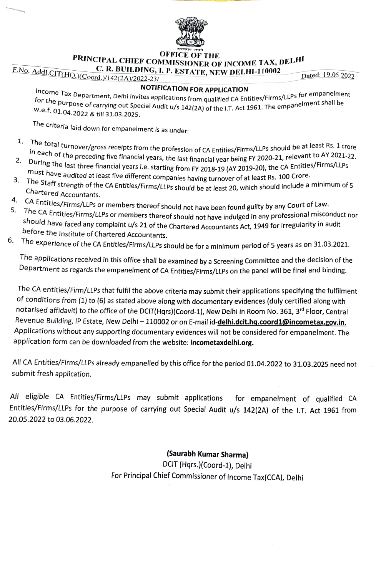

**PRINCIPAL CHIEF COMMISSIONER OF INCOME TAX, DELHI<br>C. R. BUILDING, I. P. ESTATE, NEW DELHI-110002**<br>Dated: 19.05.2022<br>Dated: 19.05.2022

ncome Tax Department, Delhi invites applications for APPLICATION<br>for the nume of the nume of the numerical dependent of the numeric shall be for the purpose of carrying out Special Audit u/s 142(2A) of the I.T. Act 1961. The empanelment shall be<br>W.e.f. 01.04.5556. W.e.f. 01.04.2022 & till 31.03.2025.

Ihe criteria laid down for empanelment is as under:

- 1. le total turnover/gross receipts from the profession of CA Entities/Firms/LLPs should be at least Rs. 1 crore<br>each of the preceding five financial years, the last financial year being FY 2020-21, relevant to AY 2021-22.<br>Fi
- In each of the preceding five financial years, the last financial year being FY 2020-21, relevant to AY 2021-22,<br>During the last three financial years i.e. starting from FY 2018-19 (AY 2019-20), the CA Entities/Firms/LLPs 2. must have audited at least five different companies having turnover of at least Rs. 100 Crore.
- 3. The Staff strength of the CA Entities/Firms/LLPs should be at least 20, which should include a minimum of 5 Chartered Accountants.
- CA Entities/Firms/LLPs or members thereof should not have been found guilty by any Court of Law.
- ne thereof should not have been found guilty by any Court of Law.<br>1. The CA Entities/Firms/LLPs or members thereof should not have indulged in any professional misconduct nor<br>1. The CA Entities/Firms/LLPs or members thereo should have faced any complaint u/s 21 of the Chartered Accountants Act, 1949 for irregularity in audit<br>before the Institute of Chartered Accountants.
- 6. The experience of the CA Entities/Firms/LLPs should be for a minimum period of 5 years as on 31.03.2021.

The applications received in this office shall be examined by a Screening Committee and the decision of the Department as regards the empanelment of CA Entities/Firms/LLPs on the panel will be final and binding

The CA entities/Firm/LLPs that fulfil the above criteria may submit their applications specifying the fulfilment of conditions from (1) to (6) as stated above along with documentary evidences (duly certified along with notarised affidavit) to the office of the DCIT(Hqrs)(Coord-1), New Delhi in Room No. 361, 3<sup>rd</sup> Floor, Central Revenue Building, IP Estate, New Delhi - 110002 or on E-mail id-delhi.dcit.hq.coord1@incometax.gov.in. Applications without any supporting documentary evidences will not be considered for empanelment. The application form can be downloaded from the website: incometaxdelhi.org.

All CA Entities/Firms/LLPs already empanelled by this office for the period 01.04.2022 to 31.03.2025 need not submit fresh application.

All eligible CA Entities/Firms/LLPs may submit applications for empanelment of qualified CA Entities/Firms/LLPs for the purpose of carrying out Special Audit u/s 142(2A) of the 1.T. Act 1961 from 20.05.2022 to 03.06.2022.

## (Saurabh Kumar Sharma)

DCIT (Hqrs.)(Coord-1), Delhi For Principal Chief Commissioner of Income Tax(CCA), Delhi